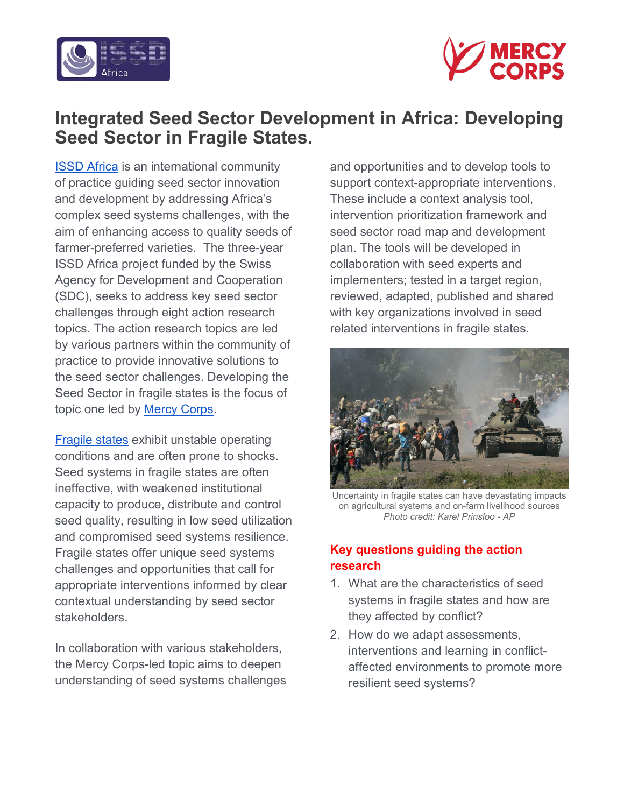



# **Integrated Seed Sector Development in Africa: Developing Seed Sector in Fragile States.**

[ISSD Africa](https://issdafrica.org/) is an international community of practice guiding seed sector innovation and development by addressing Africa's complex seed systems challenges, with the aim of enhancing access to quality seeds of farmer-preferred varieties. The three-year ISSD Africa project funded by the Swiss Agency for Development and Cooperation (SDC), seeks to address key seed sector challenges through eight action research topics. The action research topics are led by various partners within the community of practice to provide innovative solutions to the seed sector challenges. Developing the Seed Sector in fragile states is the focus of topic one led by [Mercy Corps.](https://www.mercycorps.org/)

[Fragile states](https://blogs.worldbank.org/developmenttalk/what-fragile-state) exhibit unstable operating conditions and are often prone to shocks. Seed systems in fragile states are often ineffective, with weakened institutional capacity to produce, distribute and control seed quality, resulting in low seed utilization and compromised seed systems resilience. Fragile states offer unique seed systems challenges and opportunities that call for appropriate interventions informed by clear contextual understanding by seed sector stakeholders.

In collaboration with various stakeholders, the Mercy Corps-led topic aims to deepen understanding of seed systems challenges and opportunities and to develop tools to support context-appropriate interventions. These include a context analysis tool, intervention prioritization framework and seed sector road map and development plan. The tools will be developed in collaboration with seed experts and implementers; tested in a target region, reviewed, adapted, published and shared with key organizations involved in seed related interventions in fragile states.



Uncertainty in fragile states can have devastating impacts on agricultural systems and on-farm livelihood sources *Photo credit: Karel Prinsloo - AP*

# **Key questions guiding the action research**

- 1. What are the characteristics of seed systems in fragile states and how are they affected by conflict?
- 2. How do we adapt assessments, interventions and learning in conflictaffected environments to promote more resilient seed systems?